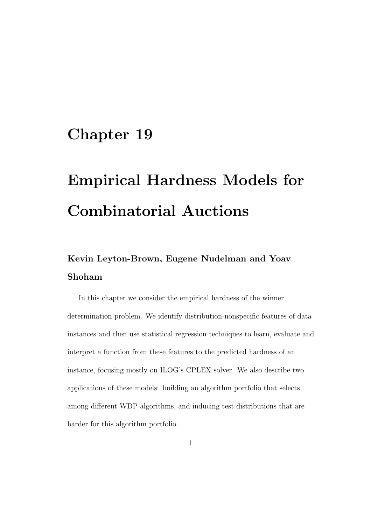# Chapter 19

# Empirical Hardness Models for Combinatorial Auctions

## Kevin Leyton-Brown, Eugene Nudelman and Yoav Shoham

In this chapter we consider the empirical hardness of the winner determination problem. We identify distribution-nonspecific features of data instances and then use statistical regression techniques to learn, evaluate and interpret a function from these features to the predicted hardness of an instance, focusing mostly on ILOG's CPLEX solver. We also describe two applications of these models: building an algorithm portfolio that selects among different WDP algorithms, and inducing test distributions that are harder for this algorithm portfolio.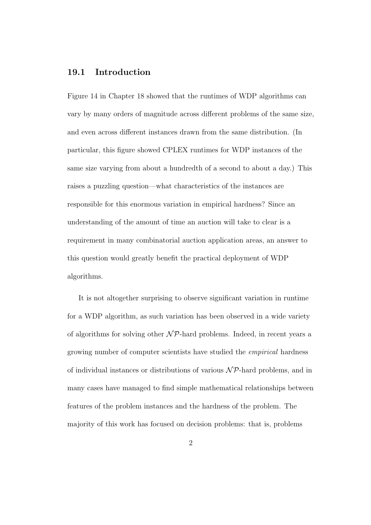#### 19.1 Introduction

Figure 14 in Chapter 18 showed that the runtimes of WDP algorithms can vary by many orders of magnitude across different problems of the same size, and even across different instances drawn from the same distribution. (In particular, this figure showed CPLEX runtimes for WDP instances of the same size varying from about a hundredth of a second to about a day.) This raises a puzzling question—what characteristics of the instances are responsible for this enormous variation in empirical hardness? Since an understanding of the amount of time an auction will take to clear is a requirement in many combinatorial auction application areas, an answer to this question would greatly benefit the practical deployment of WDP algorithms.

It is not altogether surprising to observe significant variation in runtime for a WDP algorithm, as such variation has been observed in a wide variety of algorithms for solving other  $N\mathcal{P}$ -hard problems. Indeed, in recent years a growing number of computer scientists have studied the empirical hardness of individual instances or distributions of various  $\mathcal{NP}$ -hard problems, and in many cases have managed to find simple mathematical relationships between features of the problem instances and the hardness of the problem. The majority of this work has focused on decision problems: that is, problems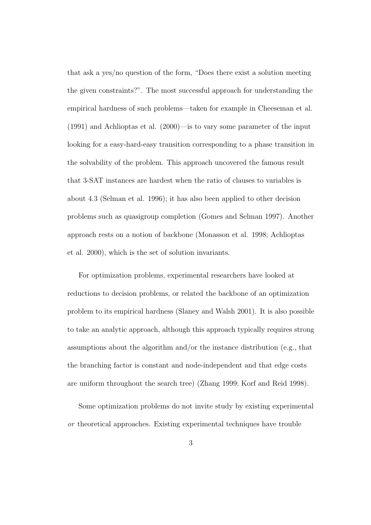that ask a yes/no question of the form, "Does there exist a solution meeting the given constraints?". The most successful approach for understanding the empirical hardness of such problems—taken for example in Cheeseman et al. (1991) and Achlioptas et al. (2000)—is to vary some parameter of the input looking for a easy-hard-easy transition corresponding to a phase transition in the solvability of the problem. This approach uncovered the famous result that 3-SAT instances are hardest when the ratio of clauses to variables is about 4.3 (Selman et al. 1996); it has also been applied to other decision problems such as quasigroup completion (Gomes and Selman 1997). Another approach rests on a notion of backbone (Monasson et al. 1998; Achlioptas et al. 2000), which is the set of solution invariants.

For optimization problems, experimental researchers have looked at reductions to decision problems, or related the backbone of an optimization problem to its empirical hardness (Slaney and Walsh 2001). It is also possible to take an analytic approach, although this approach typically requires strong assumptions about the algorithm and/or the instance distribution (e.g., that the branching factor is constant and node-independent and that edge costs are uniform throughout the search tree) (Zhang 1999; Korf and Reid 1998).

Some optimization problems do not invite study by existing experimental or theoretical approaches. Existing experimental techniques have trouble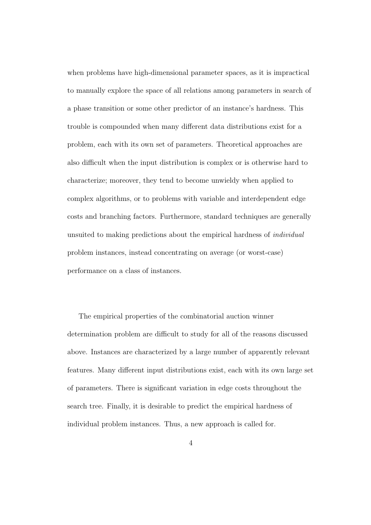when problems have high-dimensional parameter spaces, as it is impractical to manually explore the space of all relations among parameters in search of a phase transition or some other predictor of an instance's hardness. This trouble is compounded when many different data distributions exist for a problem, each with its own set of parameters. Theoretical approaches are also difficult when the input distribution is complex or is otherwise hard to characterize; moreover, they tend to become unwieldy when applied to complex algorithms, or to problems with variable and interdependent edge costs and branching factors. Furthermore, standard techniques are generally unsuited to making predictions about the empirical hardness of individual problem instances, instead concentrating on average (or worst-case) performance on a class of instances.

The empirical properties of the combinatorial auction winner determination problem are difficult to study for all of the reasons discussed above. Instances are characterized by a large number of apparently relevant features. Many different input distributions exist, each with its own large set of parameters. There is significant variation in edge costs throughout the search tree. Finally, it is desirable to predict the empirical hardness of individual problem instances. Thus, a new approach is called for.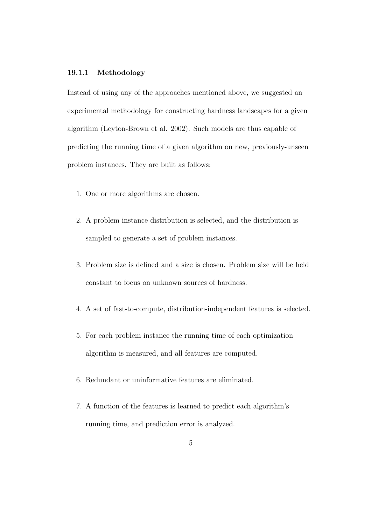#### 19.1.1 Methodology

Instead of using any of the approaches mentioned above, we suggested an experimental methodology for constructing hardness landscapes for a given algorithm (Leyton-Brown et al. 2002). Such models are thus capable of predicting the running time of a given algorithm on new, previously-unseen problem instances. They are built as follows:

- 1. One or more algorithms are chosen.
- 2. A problem instance distribution is selected, and the distribution is sampled to generate a set of problem instances.
- 3. Problem size is defined and a size is chosen. Problem size will be held constant to focus on unknown sources of hardness.
- 4. A set of fast-to-compute, distribution-independent features is selected.
- 5. For each problem instance the running time of each optimization algorithm is measured, and all features are computed.
- 6. Redundant or uninformative features are eliminated.
- 7. A function of the features is learned to predict each algorithm's running time, and prediction error is analyzed.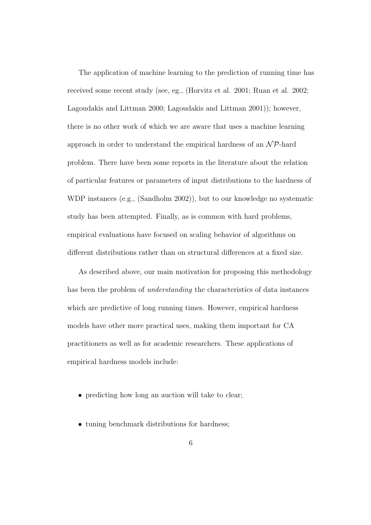The application of machine learning to the prediction of running time has received some recent study (see, eg., (Horvitz et al. 2001; Ruan et al. 2002; Lagoudakis and Littman 2000; Lagoudakis and Littman 2001)); however, there is no other work of which we are aware that uses a machine learning approach in order to understand the empirical hardness of an  $\mathcal{NP}$ -hard problem. There have been some reports in the literature about the relation of particular features or parameters of input distributions to the hardness of WDP instances (e.g., (Sandholm 2002)), but to our knowledge no systematic study has been attempted. Finally, as is common with hard problems, empirical evaluations have focused on scaling behavior of algorithms on different distributions rather than on structural differences at a fixed size.

As described above, our main motivation for proposing this methodology has been the problem of understanding the characteristics of data instances which are predictive of long running times. However, empirical hardness models have other more practical uses, making them important for CA practitioners as well as for academic researchers. These applications of empirical hardness models include:

- predicting how long an auction will take to clear;
- tuning benchmark distributions for hardness;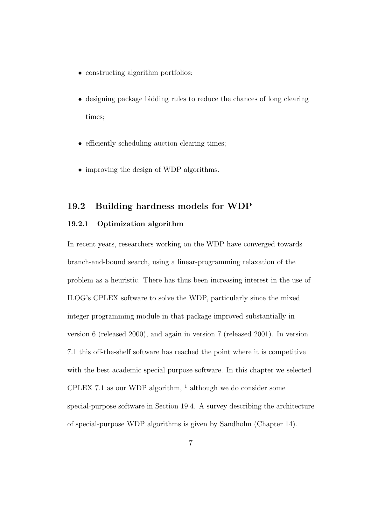- constructing algorithm portfolios;
- designing package bidding rules to reduce the chances of long clearing times;
- efficiently scheduling auction clearing times;
- improving the design of WDP algorithms.

#### 19.2 Building hardness models for WDP

#### 19.2.1 Optimization algorithm

In recent years, researchers working on the WDP have converged towards branch-and-bound search, using a linear-programming relaxation of the problem as a heuristic. There has thus been increasing interest in the use of ILOG's CPLEX software to solve the WDP, particularly since the mixed integer programming module in that package improved substantially in version 6 (released 2000), and again in version 7 (released 2001). In version 7.1 this off-the-shelf software has reached the point where it is competitive with the best academic special purpose software. In this chapter we selected CPLEX 7.1 as our WDP algorithm,  $<sup>1</sup>$  although we do consider some</sup> special-purpose software in Section 19.4. A survey describing the architecture of special-purpose WDP algorithms is given by Sandholm (Chapter 14).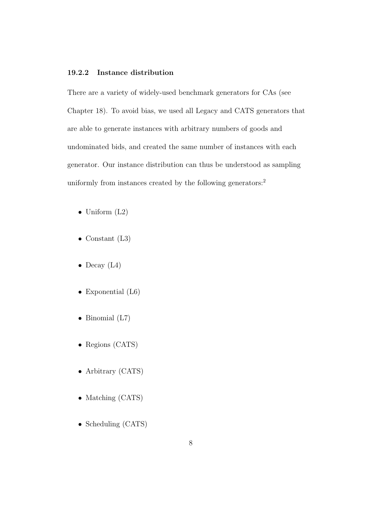#### 19.2.2 Instance distribution

There are a variety of widely-used benchmark generators for CAs (see Chapter 18). To avoid bias, we used all Legacy and CATS generators that are able to generate instances with arbitrary numbers of goods and undominated bids, and created the same number of instances with each generator. Our instance distribution can thus be understood as sampling uniformly from instances created by the following generators:<sup>2</sup>

- Uniform (L2)
- Constant  $(L3)$
- Decay  $(L4)$
- Exponential (L6)
- Binomial (L7)
- Regions (CATS)
- Arbitrary (CATS)
- Matching (CATS)
- Scheduling (CATS)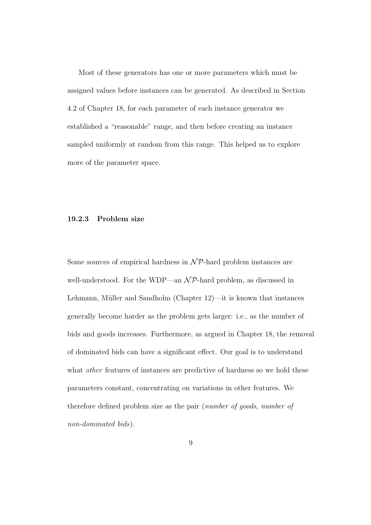Most of these generators has one or more parameters which must be assigned values before instances can be generated. As described in Section 4.2 of Chapter 18, for each parameter of each instance generator we established a "reasonable" range, and then before creating an instance sampled uniformly at random from this range. This helped us to explore more of the parameter space.

#### 19.2.3 Problem size

Some sources of empirical hardness in  $\mathcal{NP}$ -hard problem instances are well-understood. For the WDP—an  $\mathcal{NP}$ -hard problem, as discussed in Lehmann, Müller and Sandholm (Chapter  $12$ )—it is known that instances generally become harder as the problem gets larger: i.e., as the number of bids and goods increases. Furthermore, as argued in Chapter 18, the removal of dominated bids can have a significant effect. Our goal is to understand what *other* features of instances are predictive of hardness so we hold these parameters constant, concentrating on variations in other features. We therefore defined problem size as the pair (number of goods, number of non-dominated bids).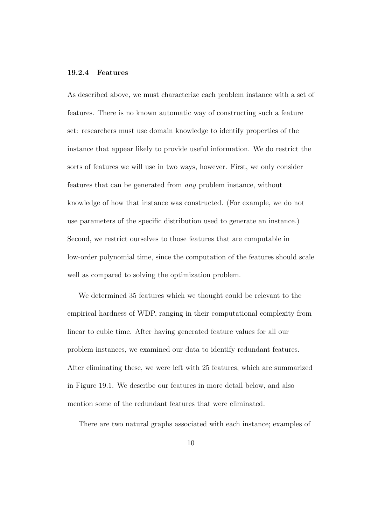#### 19.2.4 Features

As described above, we must characterize each problem instance with a set of features. There is no known automatic way of constructing such a feature set: researchers must use domain knowledge to identify properties of the instance that appear likely to provide useful information. We do restrict the sorts of features we will use in two ways, however. First, we only consider features that can be generated from any problem instance, without knowledge of how that instance was constructed. (For example, we do not use parameters of the specific distribution used to generate an instance.) Second, we restrict ourselves to those features that are computable in low-order polynomial time, since the computation of the features should scale well as compared to solving the optimization problem.

We determined 35 features which we thought could be relevant to the empirical hardness of WDP, ranging in their computational complexity from linear to cubic time. After having generated feature values for all our problem instances, we examined our data to identify redundant features. After eliminating these, we were left with 25 features, which are summarized in Figure 19.1. We describe our features in more detail below, and also mention some of the redundant features that were eliminated.

There are two natural graphs associated with each instance; examples of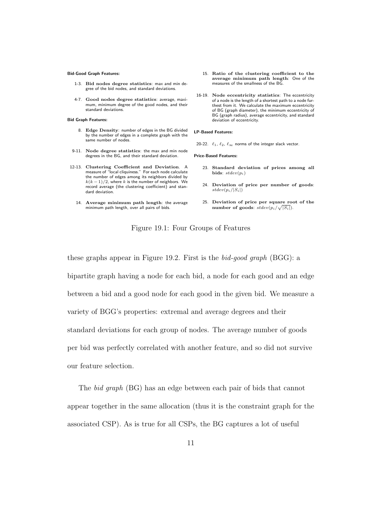#### Bid-Good Graph Features:

- 1-3. Bid nodes degree statistics: max and min degree of the bid nodes, and standard deviations.
- 4-7. Good nodes degree statistics: average, maximum, minimum degree of the good nodes, and their standard deviations.

Bid Graph Features:

- 8. Edge Density: number of edges in the BG divided by the number of edges in a complete graph with the same number of nodes.
- 9-11. Node degree statistics: the max and min node degrees in the BG, and their standard deviation.
- 12-13. Clustering Coefficient and Deviation. A measure of "local cliquiness." For each node calculate the number of edges among its neighbors divided by  $k(k-1)/2$ , where k is the number of neighbors. We record average (the clustering coefficient) and standard deviation.
	- 14. Average minimum path length: the average minimum path length, over all pairs of bids.
- 15. Ratio of the clustering coefficient to the average minimum path length: One of the measures of the smallness of the BG.
- 16-19. Node eccentricity statistics: The eccentricity of a node is the length of a shortest path to a node furthest from it. We calculate the maximum eccentricity of BG (graph diameter), the minimum eccentricity of BG (graph radius), average eccentricity, and standard deviation of eccentricity.

#### LP-Based Features:

20-22.  $\ell_1, \ell_2, \ell_\infty$  norms of the integer slack vector.

Price-Based Features:

- 23. Standard deviation of prices among all bids:  $stdev(p_i)$
- 24. Deviation of price per number of goods:  $stdev(p_i/|S_i|)$
- 25. Deviation of price per square root of the number of goods:  $stdev(p_i/\sqrt{|S_i|}).$

Figure 19.1: Four Groups of Features

these graphs appear in Figure 19.2. First is the bid-good graph (BGG): a bipartite graph having a node for each bid, a node for each good and an edge between a bid and a good node for each good in the given bid. We measure a variety of BGG's properties: extremal and average degrees and their standard deviations for each group of nodes. The average number of goods per bid was perfectly correlated with another feature, and so did not survive our feature selection.

The bid graph (BG) has an edge between each pair of bids that cannot appear together in the same allocation (thus it is the constraint graph for the associated CSP). As is true for all CSPs, the BG captures a lot of useful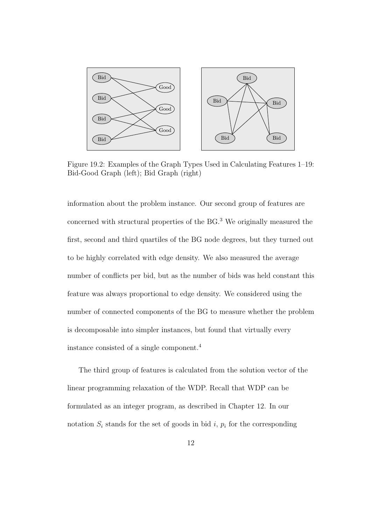

Figure 19.2: Examples of the Graph Types Used in Calculating Features 1–19: Bid-Good Graph (left); Bid Graph (right)

information about the problem instance. Our second group of features are concerned with structural properties of the BG.<sup>3</sup> We originally measured the first, second and third quartiles of the BG node degrees, but they turned out to be highly correlated with edge density. We also measured the average number of conflicts per bid, but as the number of bids was held constant this feature was always proportional to edge density. We considered using the number of connected components of the BG to measure whether the problem is decomposable into simpler instances, but found that virtually every instance consisted of a single component.<sup>4</sup>

The third group of features is calculated from the solution vector of the linear programming relaxation of the WDP. Recall that WDP can be formulated as an integer program, as described in Chapter 12. In our notation  $S_i$  stands for the set of goods in bid i,  $p_i$  for the corresponding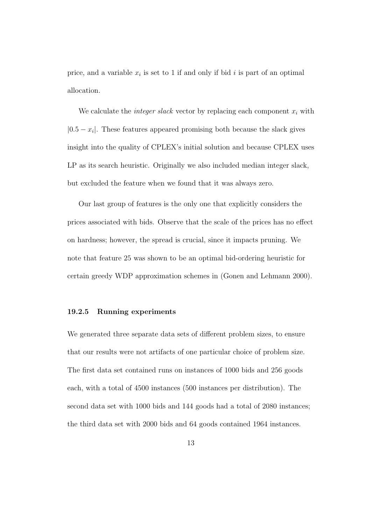price, and a variable  $x_i$  is set to 1 if and only if bid i is part of an optimal allocation.

We calculate the *integer slack* vector by replacing each component  $x_i$  with  $|0.5 - x_i|$ . These features appeared promising both because the slack gives insight into the quality of CPLEX's initial solution and because CPLEX uses LP as its search heuristic. Originally we also included median integer slack, but excluded the feature when we found that it was always zero.

Our last group of features is the only one that explicitly considers the prices associated with bids. Observe that the scale of the prices has no effect on hardness; however, the spread is crucial, since it impacts pruning. We note that feature 25 was shown to be an optimal bid-ordering heuristic for certain greedy WDP approximation schemes in (Gonen and Lehmann 2000).

#### 19.2.5 Running experiments

We generated three separate data sets of different problem sizes, to ensure that our results were not artifacts of one particular choice of problem size. The first data set contained runs on instances of 1000 bids and 256 goods each, with a total of 4500 instances (500 instances per distribution). The second data set with 1000 bids and 144 goods had a total of 2080 instances; the third data set with 2000 bids and 64 goods contained 1964 instances.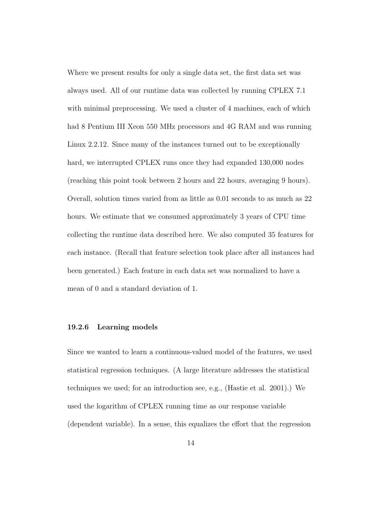Where we present results for only a single data set, the first data set was always used. All of our runtime data was collected by running CPLEX 7.1 with minimal preprocessing. We used a cluster of 4 machines, each of which had 8 Pentium III Xeon 550 MHz processors and 4G RAM and was running Linux 2.2.12. Since many of the instances turned out to be exceptionally hard, we interrupted CPLEX runs once they had expanded 130,000 nodes (reaching this point took between 2 hours and 22 hours, averaging 9 hours). Overall, solution times varied from as little as 0.01 seconds to as much as 22 hours. We estimate that we consumed approximately 3 years of CPU time collecting the runtime data described here. We also computed 35 features for each instance. (Recall that feature selection took place after all instances had been generated.) Each feature in each data set was normalized to have a mean of 0 and a standard deviation of 1.

#### 19.2.6 Learning models

Since we wanted to learn a continuous-valued model of the features, we used statistical regression techniques. (A large literature addresses the statistical techniques we used; for an introduction see, e.g., (Hastie et al. 2001).) We used the logarithm of CPLEX running time as our response variable (dependent variable). In a sense, this equalizes the effort that the regression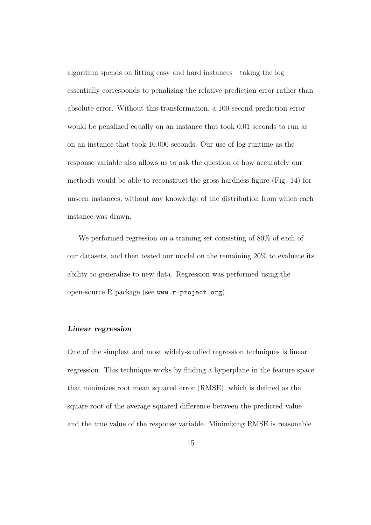algorithm spends on fitting easy and hard instances—taking the log essentially corresponds to penalizing the relative prediction error rather than absolute error. Without this transformation, a 100-second prediction error would be penalized equally on an instance that took 0.01 seconds to run as on an instance that took 10,000 seconds. Our use of log runtime as the response variable also allows us to ask the question of how accurately our methods would be able to reconstruct the gross hardness figure (Fig. 14) for unseen instances, without any knowledge of the distribution from which each instance was drawn.

We performed regression on a training set consisting of 80% of each of our datasets, and then tested our model on the remaining 20% to evaluate its ability to generalize to new data. Regression was performed using the open-source R package (see www.r-project.org).

#### Linear regression

One of the simplest and most widely-studied regression techniques is linear regression. This technique works by finding a hyperplane in the feature space that minimizes root mean squared error (RMSE), which is defined as the square root of the average squared difference between the predicted value and the true value of the response variable. Minimizing RMSE is reasonable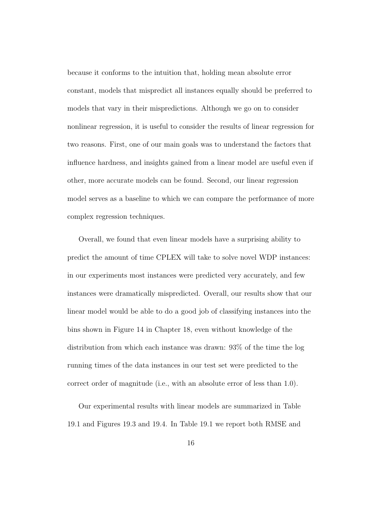because it conforms to the intuition that, holding mean absolute error constant, models that mispredict all instances equally should be preferred to models that vary in their mispredictions. Although we go on to consider nonlinear regression, it is useful to consider the results of linear regression for two reasons. First, one of our main goals was to understand the factors that influence hardness, and insights gained from a linear model are useful even if other, more accurate models can be found. Second, our linear regression model serves as a baseline to which we can compare the performance of more complex regression techniques.

Overall, we found that even linear models have a surprising ability to predict the amount of time CPLEX will take to solve novel WDP instances: in our experiments most instances were predicted very accurately, and few instances were dramatically mispredicted. Overall, our results show that our linear model would be able to do a good job of classifying instances into the bins shown in Figure 14 in Chapter 18, even without knowledge of the distribution from which each instance was drawn: 93% of the time the log running times of the data instances in our test set were predicted to the correct order of magnitude (i.e., with an absolute error of less than 1.0).

Our experimental results with linear models are summarized in Table 19.1 and Figures 19.3 and 19.4. In Table 19.1 we report both RMSE and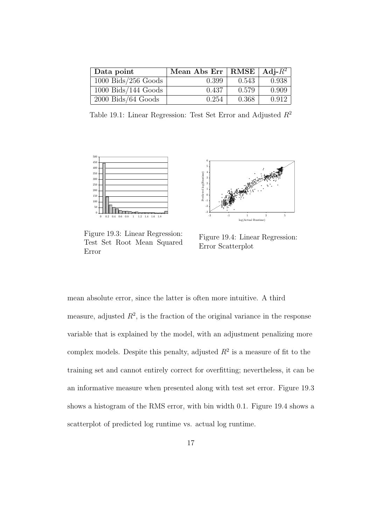| Data point            | Mean Abs Err   RMSE   Adj- $R^2$ |       |       |
|-----------------------|----------------------------------|-------|-------|
| $1000$ Bids/256 Goods | 0.399                            | 0.543 | 0.938 |
| $1000$ Bids/144 Goods | 0.437                            | 0.579 | 0.909 |
| $2000$ Bids/64 Goods  | 0.254                            | 0.368 | 0.912 |

Table 19.1: Linear Regression: Test Set Error and Adjusted  $R^2$ 



Figure 19.3: Linear Regression: Test Set Root Mean Squared Error



Figure 19.4: Linear Regression: Error Scatterplot

mean absolute error, since the latter is often more intuitive. A third measure, adjusted  $R^2$ , is the fraction of the original variance in the response variable that is explained by the model, with an adjustment penalizing more complex models. Despite this penalty, adjusted  $R^2$  is a measure of fit to the training set and cannot entirely correct for overfitting; nevertheless, it can be an informative measure when presented along with test set error. Figure 19.3 shows a histogram of the RMS error, with bin width 0.1. Figure 19.4 shows a scatterplot of predicted log runtime vs. actual log runtime.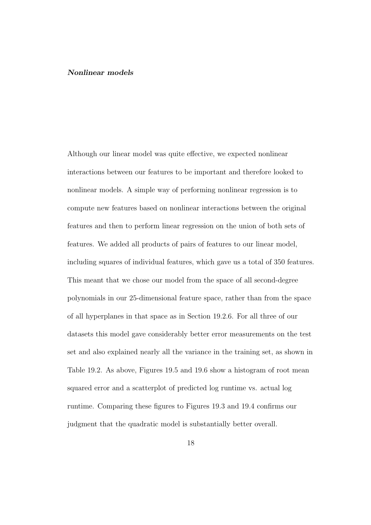#### Nonlinear models

Although our linear model was quite effective, we expected nonlinear interactions between our features to be important and therefore looked to nonlinear models. A simple way of performing nonlinear regression is to compute new features based on nonlinear interactions between the original features and then to perform linear regression on the union of both sets of features. We added all products of pairs of features to our linear model, including squares of individual features, which gave us a total of 350 features. This meant that we chose our model from the space of all second-degree polynomials in our 25-dimensional feature space, rather than from the space of all hyperplanes in that space as in Section 19.2.6. For all three of our datasets this model gave considerably better error measurements on the test set and also explained nearly all the variance in the training set, as shown in Table 19.2. As above, Figures 19.5 and 19.6 show a histogram of root mean squared error and a scatterplot of predicted log runtime vs. actual log runtime. Comparing these figures to Figures 19.3 and 19.4 confirms our judgment that the quadratic model is substantially better overall.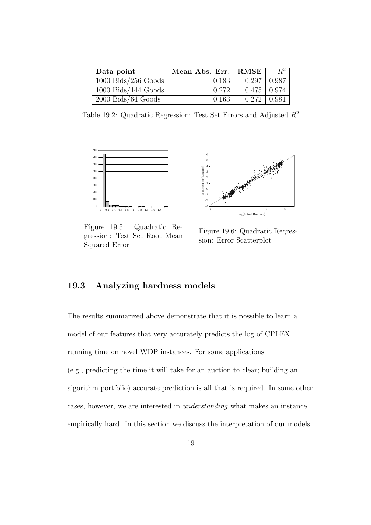| Data point            | Mean Abs. Err. | RMSE               | $R^2$ |
|-----------------------|----------------|--------------------|-------|
| $1000$ Bids/256 Goods | 0.183          | 0.297              | 0.987 |
| $1000$ Bids/144 Goods | 0.272          | $0.475 \mid 0.974$ |       |
| $2000$ Bids/64 Goods  | 0.163          | $0.272 \pm 0.981$  |       |

Table 19.2: Quadratic Regression: Test Set Errors and Adjusted  $R^2$ 



Figure 19.5: Quadratic Regression: Test Set Root Mean Squared Error



Figure 19.6: Quadratic Regression: Error Scatterplot

### 19.3 Analyzing hardness models

The results summarized above demonstrate that it is possible to learn a model of our features that very accurately predicts the log of CPLEX running time on novel WDP instances. For some applications (e.g., predicting the time it will take for an auction to clear; building an algorithm portfolio) accurate prediction is all that is required. In some other cases, however, we are interested in understanding what makes an instance empirically hard. In this section we discuss the interpretation of our models.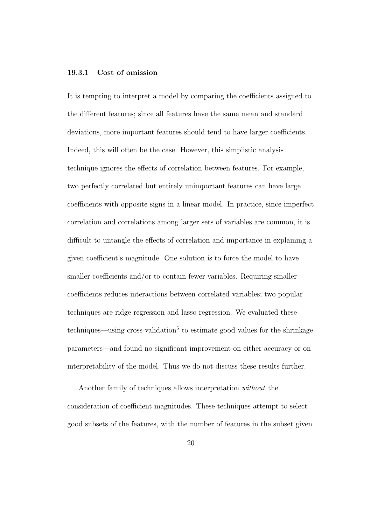#### 19.3.1 Cost of omission

It is tempting to interpret a model by comparing the coefficients assigned to the different features; since all features have the same mean and standard deviations, more important features should tend to have larger coefficients. Indeed, this will often be the case. However, this simplistic analysis technique ignores the effects of correlation between features. For example, two perfectly correlated but entirely unimportant features can have large coefficients with opposite signs in a linear model. In practice, since imperfect correlation and correlations among larger sets of variables are common, it is difficult to untangle the effects of correlation and importance in explaining a given coefficient's magnitude. One solution is to force the model to have smaller coefficients and/or to contain fewer variables. Requiring smaller coefficients reduces interactions between correlated variables; two popular techniques are ridge regression and lasso regression. We evaluated these techniques—using cross-validation<sup>5</sup> to estimate good values for the shrinkage parameters—and found no significant improvement on either accuracy or on interpretability of the model. Thus we do not discuss these results further.

Another family of techniques allows interpretation without the consideration of coefficient magnitudes. These techniques attempt to select good subsets of the features, with the number of features in the subset given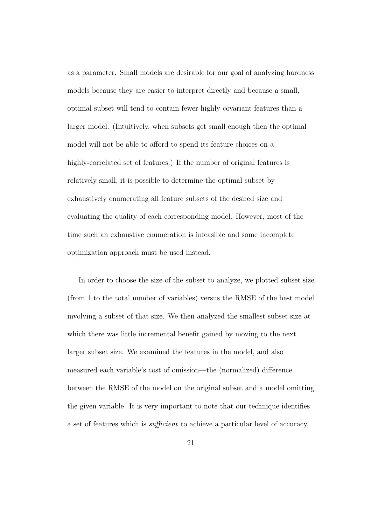as a parameter. Small models are desirable for our goal of analyzing hardness models because they are easier to interpret directly and because a small, optimal subset will tend to contain fewer highly covariant features than a larger model. (Intuitively, when subsets get small enough then the optimal model will not be able to afford to spend its feature choices on a highly-correlated set of features.) If the number of original features is relatively small, it is possible to determine the optimal subset by exhaustively enumerating all feature subsets of the desired size and evaluating the quality of each corresponding model. However, most of the time such an exhaustive enumeration is infeasible and some incomplete optimization approach must be used instead.

In order to choose the size of the subset to analyze, we plotted subset size (from 1 to the total number of variables) versus the RMSE of the best model involving a subset of that size. We then analyzed the smallest subset size at which there was little incremental benefit gained by moving to the next larger subset size. We examined the features in the model, and also measured each variable's cost of omission—the (normalized) difference between the RMSE of the model on the original subset and a model omitting the given variable. It is very important to note that our technique identifies a set of features which is sufficient to achieve a particular level of accuracy,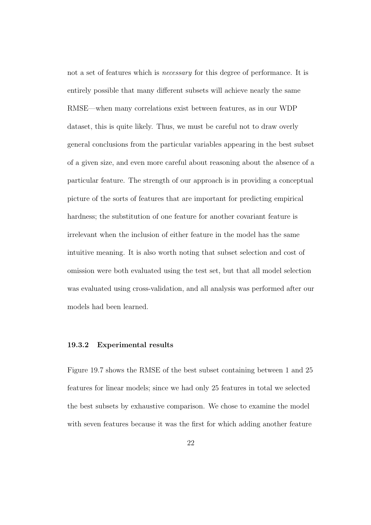not a set of features which is *necessary* for this degree of performance. It is entirely possible that many different subsets will achieve nearly the same RMSE—when many correlations exist between features, as in our WDP dataset, this is quite likely. Thus, we must be careful not to draw overly general conclusions from the particular variables appearing in the best subset of a given size, and even more careful about reasoning about the absence of a particular feature. The strength of our approach is in providing a conceptual picture of the sorts of features that are important for predicting empirical hardness; the substitution of one feature for another covariant feature is irrelevant when the inclusion of either feature in the model has the same intuitive meaning. It is also worth noting that subset selection and cost of omission were both evaluated using the test set, but that all model selection was evaluated using cross-validation, and all analysis was performed after our models had been learned.

#### 19.3.2 Experimental results

Figure 19.7 shows the RMSE of the best subset containing between 1 and 25 features for linear models; since we had only 25 features in total we selected the best subsets by exhaustive comparison. We chose to examine the model with seven features because it was the first for which adding another feature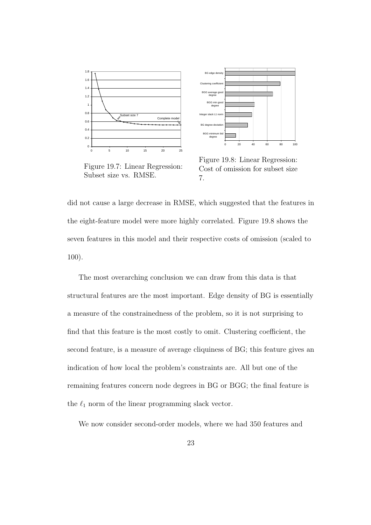



Figure 19.7: Linear Regression: Subset size vs. RMSE.

Figure 19.8: Linear Regression: Cost of omission for subset size 7.

did not cause a large decrease in RMSE, which suggested that the features in the eight-feature model were more highly correlated. Figure 19.8 shows the seven features in this model and their respective costs of omission (scaled to 100).

The most overarching conclusion we can draw from this data is that structural features are the most important. Edge density of BG is essentially a measure of the constrainedness of the problem, so it is not surprising to find that this feature is the most costly to omit. Clustering coefficient, the second feature, is a measure of average cliquiness of BG; this feature gives an indication of how local the problem's constraints are. All but one of the remaining features concern node degrees in BG or BGG; the final feature is the  $\ell_1$  norm of the linear programming slack vector.

We now consider second-order models, where we had 350 features and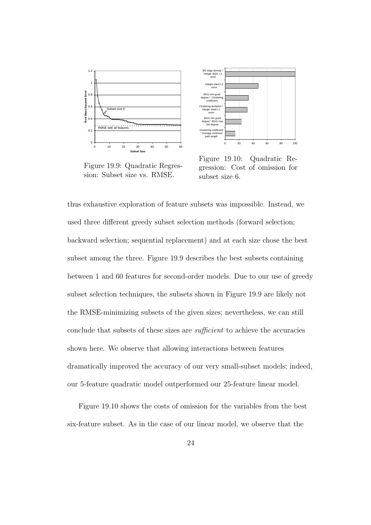

Figure 19.9: Quadratic Regression: Subset size vs. RMSE.



Figure 19.10: Quadratic Regression: Cost of omission for subset size 6.

thus exhaustive exploration of feature subsets was impossible. Instead, we used three different greedy subset selection methods (forward selection; backward selection; sequential replacement) and at each size chose the best subset among the three. Figure 19.9 describes the best subsets containing between 1 and 60 features for second-order models. Due to our use of greedy subset selection techniques, the subsets shown in Figure 19.9 are likely not the RMSE-minimizing subsets of the given sizes; nevertheless, we can still conclude that subsets of these sizes are sufficient to achieve the accuracies shown here. We observe that allowing interactions between features dramatically improved the accuracy of our very small-subset models; indeed, our 5-feature quadratic model outperformed our 25-feature linear model.

Figure 19.10 shows the costs of omission for the variables from the best six-feature subset. As in the case of our linear model, we observe that the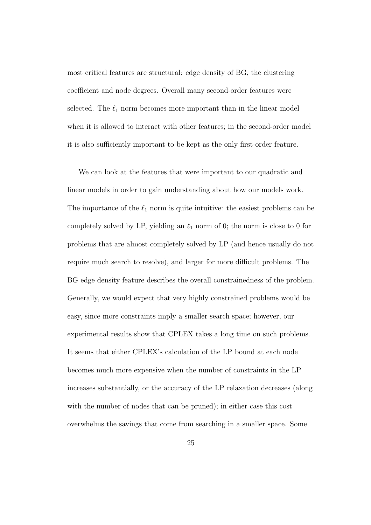most critical features are structural: edge density of BG, the clustering coefficient and node degrees. Overall many second-order features were selected. The  $\ell_1$  norm becomes more important than in the linear model when it is allowed to interact with other features; in the second-order model it is also sufficiently important to be kept as the only first-order feature.

We can look at the features that were important to our quadratic and linear models in order to gain understanding about how our models work. The importance of the  $\ell_1$  norm is quite intuitive: the easiest problems can be completely solved by LP, yielding an  $\ell_1$  norm of 0; the norm is close to 0 for problems that are almost completely solved by LP (and hence usually do not require much search to resolve), and larger for more difficult problems. The BG edge density feature describes the overall constrainedness of the problem. Generally, we would expect that very highly constrained problems would be easy, since more constraints imply a smaller search space; however, our experimental results show that CPLEX takes a long time on such problems. It seems that either CPLEX's calculation of the LP bound at each node becomes much more expensive when the number of constraints in the LP increases substantially, or the accuracy of the LP relaxation decreases (along with the number of nodes that can be pruned); in either case this cost overwhelms the savings that come from searching in a smaller space. Some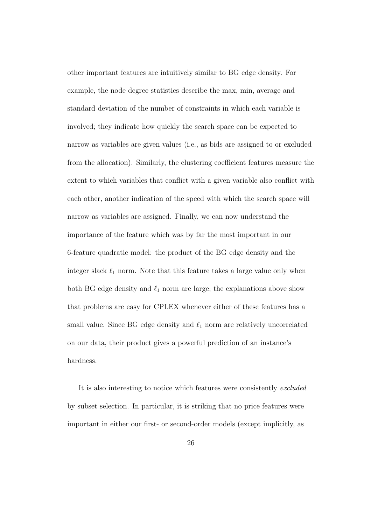other important features are intuitively similar to BG edge density. For example, the node degree statistics describe the max, min, average and standard deviation of the number of constraints in which each variable is involved; they indicate how quickly the search space can be expected to narrow as variables are given values (i.e., as bids are assigned to or excluded from the allocation). Similarly, the clustering coefficient features measure the extent to which variables that conflict with a given variable also conflict with each other, another indication of the speed with which the search space will narrow as variables are assigned. Finally, we can now understand the importance of the feature which was by far the most important in our 6-feature quadratic model: the product of the BG edge density and the integer slack  $\ell_1$  norm. Note that this feature takes a large value only when both BG edge density and  $\ell_1$  norm are large; the explanations above show that problems are easy for CPLEX whenever either of these features has a small value. Since BG edge density and  $\ell_1$  norm are relatively uncorrelated on our data, their product gives a powerful prediction of an instance's hardness.

It is also interesting to notice which features were consistently excluded by subset selection. In particular, it is striking that no price features were important in either our first- or second-order models (except implicitly, as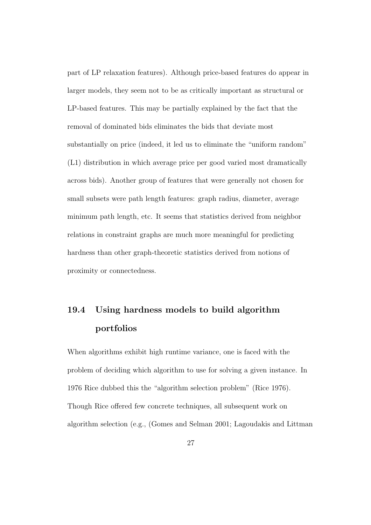part of LP relaxation features). Although price-based features do appear in larger models, they seem not to be as critically important as structural or LP-based features. This may be partially explained by the fact that the removal of dominated bids eliminates the bids that deviate most substantially on price (indeed, it led us to eliminate the "uniform random" (L1) distribution in which average price per good varied most dramatically across bids). Another group of features that were generally not chosen for small subsets were path length features: graph radius, diameter, average minimum path length, etc. It seems that statistics derived from neighbor relations in constraint graphs are much more meaningful for predicting hardness than other graph-theoretic statistics derived from notions of proximity or connectedness.

### 19.4 Using hardness models to build algorithm portfolios

When algorithms exhibit high runtime variance, one is faced with the problem of deciding which algorithm to use for solving a given instance. In 1976 Rice dubbed this the "algorithm selection problem" (Rice 1976). Though Rice offered few concrete techniques, all subsequent work on algorithm selection (e.g., (Gomes and Selman 2001; Lagoudakis and Littman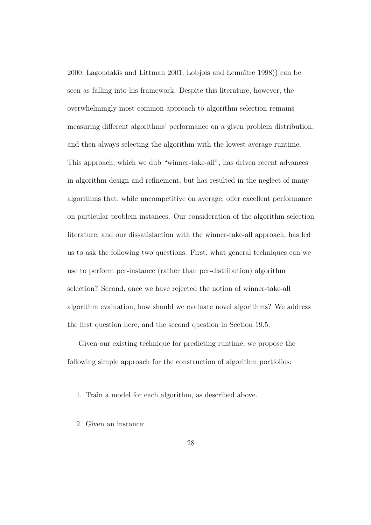$2000$ ; Lagoudakis and Littman  $2001$ ; Lobjois and Lemaître 1998)) can be seen as falling into his framework. Despite this literature, however, the overwhelmingly most common approach to algorithm selection remains measuring different algorithms' performance on a given problem distribution, and then always selecting the algorithm with the lowest average runtime. This approach, which we dub "winner-take-all", has driven recent advances in algorithm design and refinement, but has resulted in the neglect of many algorithms that, while uncompetitive on average, offer excellent performance on particular problem instances. Our consideration of the algorithm selection literature, and our dissatisfaction with the winner-take-all approach, has led us to ask the following two questions. First, what general techniques can we use to perform per-instance (rather than per-distribution) algorithm selection? Second, once we have rejected the notion of winner-take-all algorithm evaluation, how should we evaluate novel algorithms? We address the first question here, and the second question in Section 19.5.

Given our existing technique for predicting runtime, we propose the following simple approach for the construction of algorithm portfolios:

- 1. Train a model for each algorithm, as described above.
- 2. Given an instance: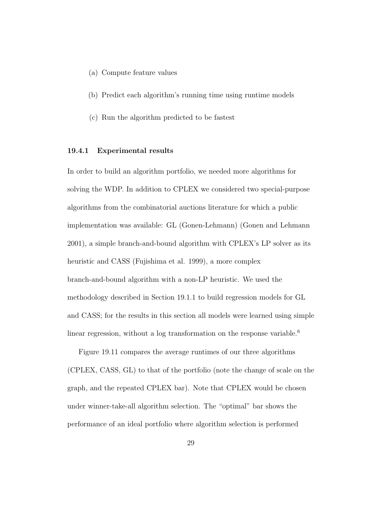- (a) Compute feature values
- (b) Predict each algorithm's running time using runtime models
- (c) Run the algorithm predicted to be fastest

#### 19.4.1 Experimental results

In order to build an algorithm portfolio, we needed more algorithms for solving the WDP. In addition to CPLEX we considered two special-purpose algorithms from the combinatorial auctions literature for which a public implementation was available: GL (Gonen-Lehmann) (Gonen and Lehmann 2001), a simple branch-and-bound algorithm with CPLEX's LP solver as its heuristic and CASS (Fujishima et al. 1999), a more complex branch-and-bound algorithm with a non-LP heuristic. We used the methodology described in Section 19.1.1 to build regression models for GL and CASS; for the results in this section all models were learned using simple linear regression, without a log transformation on the response variable.<sup>6</sup>

Figure 19.11 compares the average runtimes of our three algorithms (CPLEX, CASS, GL) to that of the portfolio (note the change of scale on the graph, and the repeated CPLEX bar). Note that CPLEX would be chosen under winner-take-all algorithm selection. The "optimal" bar shows the performance of an ideal portfolio where algorithm selection is performed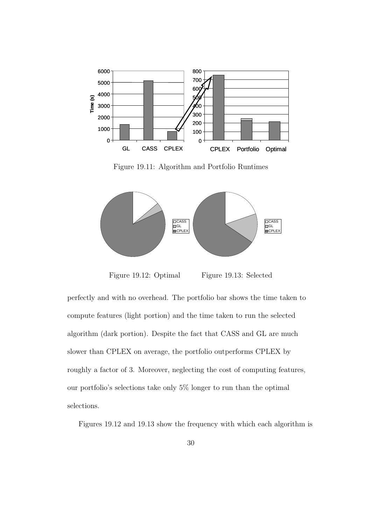

Figure 19.11: Algorithm and Portfolio Runtimes



Figure 19.12: Optimal

Figure 19.13: Selected

perfectly and with no overhead. The portfolio bar shows the time taken to compute features (light portion) and the time taken to run the selected algorithm (dark portion). Despite the fact that CASS and GL are much slower than CPLEX on average, the portfolio outperforms CPLEX by roughly a factor of 3. Moreover, neglecting the cost of computing features, our portfolio's selections take only 5% longer to run than the optimal selections.

Figures 19.12 and 19.13 show the frequency with which each algorithm is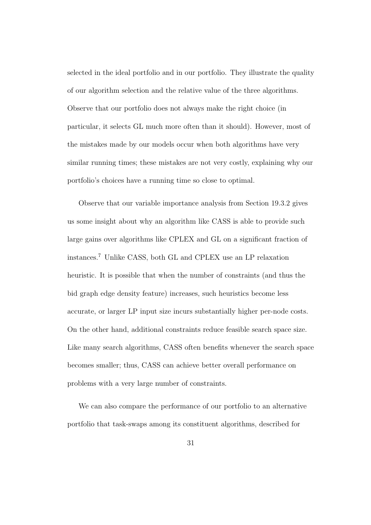selected in the ideal portfolio and in our portfolio. They illustrate the quality of our algorithm selection and the relative value of the three algorithms. Observe that our portfolio does not always make the right choice (in particular, it selects GL much more often than it should). However, most of the mistakes made by our models occur when both algorithms have very similar running times; these mistakes are not very costly, explaining why our portfolio's choices have a running time so close to optimal.

Observe that our variable importance analysis from Section 19.3.2 gives us some insight about why an algorithm like CASS is able to provide such large gains over algorithms like CPLEX and GL on a significant fraction of instances.<sup>7</sup> Unlike CASS, both GL and CPLEX use an LP relaxation heuristic. It is possible that when the number of constraints (and thus the bid graph edge density feature) increases, such heuristics become less accurate, or larger LP input size incurs substantially higher per-node costs. On the other hand, additional constraints reduce feasible search space size. Like many search algorithms, CASS often benefits whenever the search space becomes smaller; thus, CASS can achieve better overall performance on problems with a very large number of constraints.

We can also compare the performance of our portfolio to an alternative portfolio that task-swaps among its constituent algorithms, described for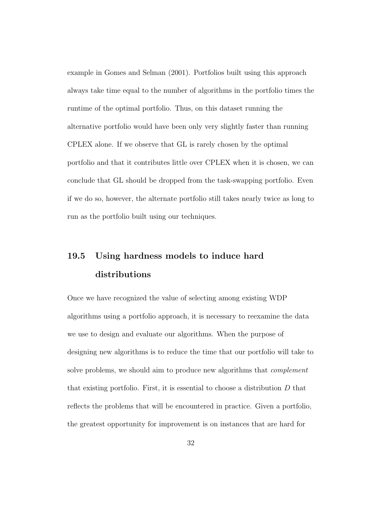example in Gomes and Selman (2001). Portfolios built using this approach always take time equal to the number of algorithms in the portfolio times the runtime of the optimal portfolio. Thus, on this dataset running the alternative portfolio would have been only very slightly faster than running CPLEX alone. If we observe that GL is rarely chosen by the optimal portfolio and that it contributes little over CPLEX when it is chosen, we can conclude that GL should be dropped from the task-swapping portfolio. Even if we do so, however, the alternate portfolio still takes nearly twice as long to run as the portfolio built using our techniques.

### 19.5 Using hardness models to induce hard distributions

Once we have recognized the value of selecting among existing WDP algorithms using a portfolio approach, it is necessary to reexamine the data we use to design and evaluate our algorithms. When the purpose of designing new algorithms is to reduce the time that our portfolio will take to solve problems, we should aim to produce new algorithms that complement that existing portfolio. First, it is essential to choose a distribution  $D$  that reflects the problems that will be encountered in practice. Given a portfolio, the greatest opportunity for improvement is on instances that are hard for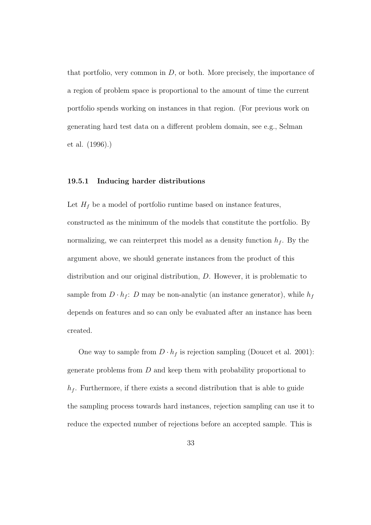that portfolio, very common in  $D$ , or both. More precisely, the importance of a region of problem space is proportional to the amount of time the current portfolio spends working on instances in that region. (For previous work on generating hard test data on a different problem domain, see e.g., Selman et al. (1996).)

#### 19.5.1 Inducing harder distributions

Let  $H_f$  be a model of portfolio runtime based on instance features, constructed as the minimum of the models that constitute the portfolio. By normalizing, we can reinterpret this model as a density function  $h_f$ . By the argument above, we should generate instances from the product of this distribution and our original distribution, D. However, it is problematic to sample from  $D \cdot h_f$ : D may be non-analytic (an instance generator), while  $h_f$ depends on features and so can only be evaluated after an instance has been created.

One way to sample from  $D \cdot h_f$  is rejection sampling (Doucet et al. 2001): generate problems from D and keep them with probability proportional to  $h_f$ . Furthermore, if there exists a second distribution that is able to guide the sampling process towards hard instances, rejection sampling can use it to reduce the expected number of rejections before an accepted sample. This is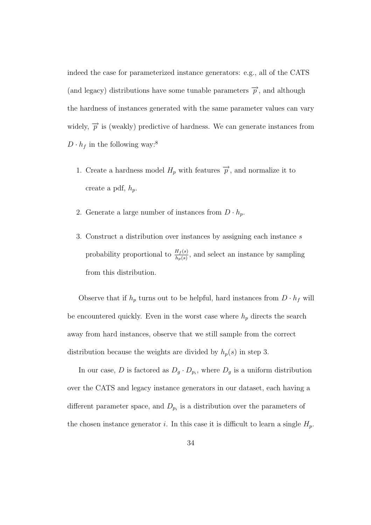indeed the case for parameterized instance generators: e.g., all of the CATS (and legacy) distributions have some tunable parameters  $\overrightarrow{p}$ , and although the hardness of instances generated with the same parameter values can vary widely,  $\overrightarrow{p}$  is (weakly) predictive of hardness. We can generate instances from  $D \cdot h_f$  in the following way:<sup>8</sup>

- 1. Create a hardness model  $H_p$  with features  $\vec{p}$ , and normalize it to create a pdf,  $h_p$ .
- 2. Generate a large number of instances from  $D \cdot h_p$ .
- 3. Construct a distribution over instances by assigning each instance s probability proportional to  $\frac{H_f(s)}{h_p(s)}$ , and select an instance by sampling from this distribution.

Observe that if  $h_p$  turns out to be helpful, hard instances from  $D \cdot h_f$  will be encountered quickly. Even in the worst case where  $h_p$  directs the search away from hard instances, observe that we still sample from the correct distribution because the weights are divided by  $h_p(s)$  in step 3.

In our case, D is factored as  $D_g \cdot D_{p_i}$ , where  $D_g$  is a uniform distribution over the CATS and legacy instance generators in our dataset, each having a different parameter space, and  $D_{p_i}$  is a distribution over the parameters of the chosen instance generator *i*. In this case it is difficult to learn a single  $H_p$ .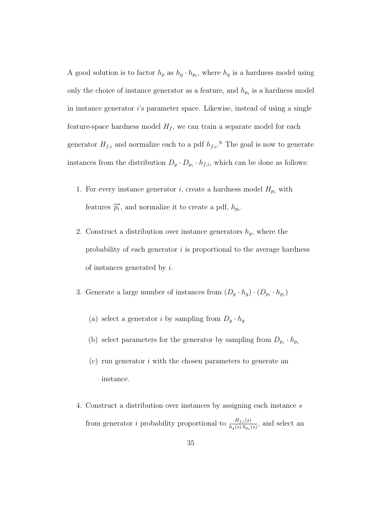A good solution is to factor  $h_p$  as  $h_g \cdot h_{p_i}$ , where  $h_g$  is a hardness model using only the choice of instance generator as a feature, and  $h_{p_i}$  is a hardness model in instance generator i's parameter space. Likewise, instead of using a single feature-space hardness model  $H_f$ , we can train a separate model for each generator  $H_{f,i}$  and normalize each to a pdf  $h_{f,i}$ .<sup>9</sup> The goal is now to generate instances from the distribution  $D_g \cdot D_{p_i} \cdot h_{f,i}$ , which can be done as follows:

- 1. For every instance generator *i*, create a hardness model  $H_{p_i}$  with features  $\overrightarrow{p_i}$ , and normalize it to create a pdf,  $h_{p_i}$ .
- 2. Construct a distribution over instance generators  $h<sub>g</sub>$ , where the probability of each generator  $i$  is proportional to the average hardness of instances generated by i.
- 3. Generate a large number of instances from  $(D_g \cdot h_g) \cdot (D_{p_i} \cdot h_{p_i})$ 
	- (a) select a generator i by sampling from  $D_g \cdot h_g$
	- (b) select parameters for the generator by sampling from  $D_{p_i} \cdot h_{p_i}$
	- (c) run generator i with the chosen parameters to generate an instance.
- 4. Construct a distribution over instances by assigning each instance s from generator *i* probability proportional to  $\frac{H_{f,i}(s)}{h_g(s) \cdot h_{p_i}(s)}$ , and select an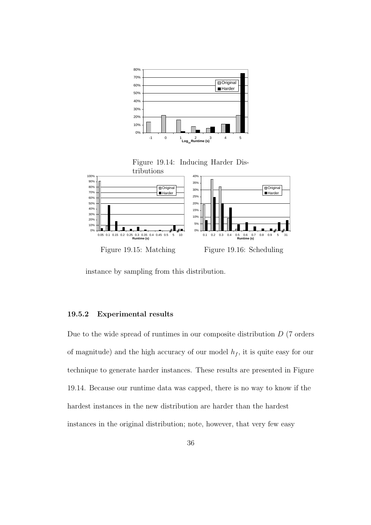

instance by sampling from this distribution.

#### 19.5.2 Experimental results

Due to the wide spread of runtimes in our composite distribution  $D$  (7 orders of magnitude) and the high accuracy of our model  $h_f$ , it is quite easy for our technique to generate harder instances. These results are presented in Figure 19.14. Because our runtime data was capped, there is no way to know if the hardest instances in the new distribution are harder than the hardest instances in the original distribution; note, however, that very few easy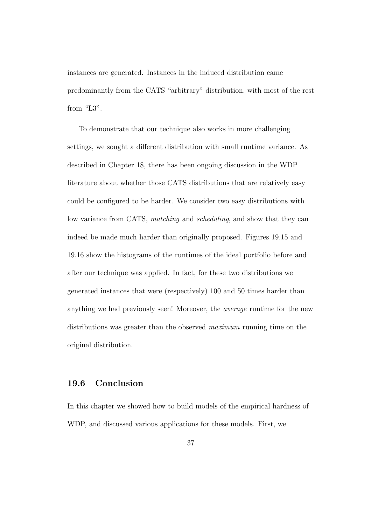instances are generated. Instances in the induced distribution came predominantly from the CATS "arbitrary" distribution, with most of the rest from "L3".

To demonstrate that our technique also works in more challenging settings, we sought a different distribution with small runtime variance. As described in Chapter 18, there has been ongoing discussion in the WDP literature about whether those CATS distributions that are relatively easy could be configured to be harder. We consider two easy distributions with low variance from CATS, matching and scheduling, and show that they can indeed be made much harder than originally proposed. Figures 19.15 and 19.16 show the histograms of the runtimes of the ideal portfolio before and after our technique was applied. In fact, for these two distributions we generated instances that were (respectively) 100 and 50 times harder than anything we had previously seen! Moreover, the average runtime for the new distributions was greater than the observed *maximum* running time on the original distribution.

### 19.6 Conclusion

In this chapter we showed how to build models of the empirical hardness of WDP, and discussed various applications for these models. First, we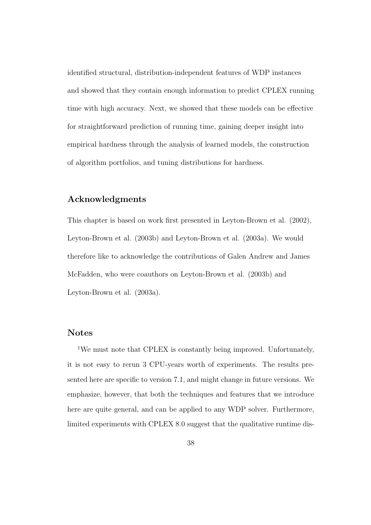identified structural, distribution-independent features of WDP instances and showed that they contain enough information to predict CPLEX running time with high accuracy. Next, we showed that these models can be effective for straightforward prediction of running time, gaining deeper insight into empirical hardness through the analysis of learned models, the construction of algorithm portfolios, and tuning distributions for hardness.

#### Acknowledgments

This chapter is based on work first presented in Leyton-Brown et al. (2002), Leyton-Brown et al. (2003b) and Leyton-Brown et al. (2003a). We would therefore like to acknowledge the contributions of Galen Andrew and James McFadden, who were coauthors on Leyton-Brown et al. (2003b) and Leyton-Brown et al. (2003a).

#### Notes

<sup>1</sup>We must note that CPLEX is constantly being improved. Unfortunately, it is not easy to rerun 3 CPU-years worth of experiments. The results presented here are specific to version 7.1, and might change in future versions. We emphasize, however, that both the techniques and features that we introduce here are quite general, and can be applied to any WDP solver. Furthermore, limited experiments with CPLEX 8.0 suggest that the qualitative runtime dis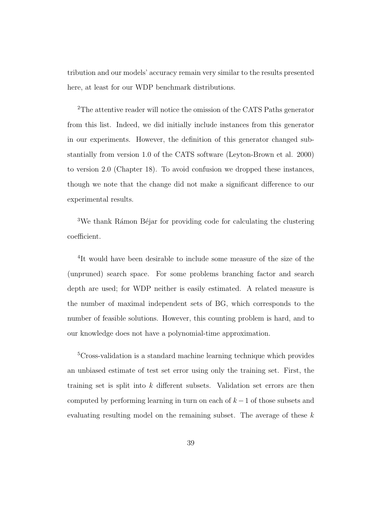tribution and our models' accuracy remain very similar to the results presented here, at least for our WDP benchmark distributions.

<sup>2</sup>The attentive reader will notice the omission of the CATS Paths generator from this list. Indeed, we did initially include instances from this generator in our experiments. However, the definition of this generator changed substantially from version 1.0 of the CATS software (Leyton-Brown et al. 2000) to version 2.0 (Chapter 18). To avoid confusion we dropped these instances, though we note that the change did not make a significant difference to our experimental results.

<sup>3</sup>We thank Rámon Béjar for providing code for calculating the clustering coefficient.

<sup>4</sup>It would have been desirable to include some measure of the size of the (unpruned) search space. For some problems branching factor and search depth are used; for WDP neither is easily estimated. A related measure is the number of maximal independent sets of BG, which corresponds to the number of feasible solutions. However, this counting problem is hard, and to our knowledge does not have a polynomial-time approximation.

<sup>5</sup>Cross-validation is a standard machine learning technique which provides an unbiased estimate of test set error using only the training set. First, the training set is split into k different subsets. Validation set errors are then computed by performing learning in turn on each of  $k-1$  of those subsets and evaluating resulting model on the remaining subset. The average of these  $k$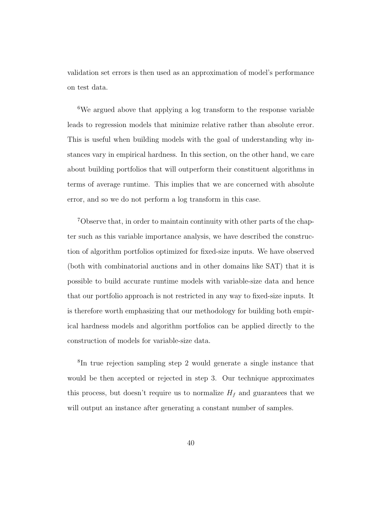validation set errors is then used as an approximation of model's performance on test data.

<sup>6</sup>We argued above that applying a log transform to the response variable leads to regression models that minimize relative rather than absolute error. This is useful when building models with the goal of understanding why instances vary in empirical hardness. In this section, on the other hand, we care about building portfolios that will outperform their constituent algorithms in terms of average runtime. This implies that we are concerned with absolute error, and so we do not perform a log transform in this case.

7Observe that, in order to maintain continuity with other parts of the chapter such as this variable importance analysis, we have described the construction of algorithm portfolios optimized for fixed-size inputs. We have observed (both with combinatorial auctions and in other domains like SAT) that it is possible to build accurate runtime models with variable-size data and hence that our portfolio approach is not restricted in any way to fixed-size inputs. It is therefore worth emphasizing that our methodology for building both empirical hardness models and algorithm portfolios can be applied directly to the construction of models for variable-size data.

<sup>8</sup>In true rejection sampling step 2 would generate a single instance that would be then accepted or rejected in step 3. Our technique approximates this process, but doesn't require us to normalize  $H_f$  and guarantees that we will output an instance after generating a constant number of samples.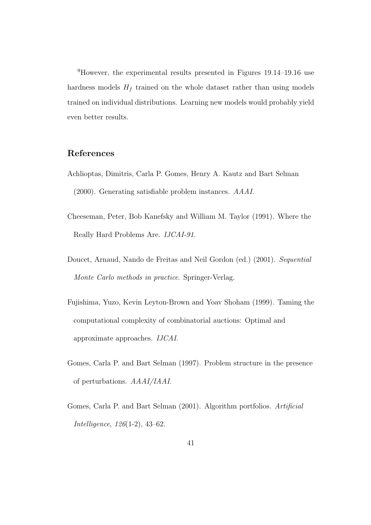<sup>9</sup>However, the experimental results presented in Figures 19.14–19.16 use hardness models  $H_f$  trained on the whole dataset rather than using models trained on individual distributions. Learning new models would probably yield even better results.

#### References

- Achlioptas, Dimitris, Carla P. Gomes, Henry A. Kautz and Bart Selman (2000). Generating satisfiable problem instances. AAAI.
- Cheeseman, Peter, Bob Kanefsky and William M. Taylor (1991). Where the Really Hard Problems Are. IJCAI-91.
- Doucet, Arnaud, Nando de Freitas and Neil Gordon (ed.) (2001). Sequential Monte Carlo methods in practice. Springer-Verlag.
- Fujishima, Yuzo, Kevin Leyton-Brown and Yoav Shoham (1999). Taming the computational complexity of combinatorial auctions: Optimal and approximate approaches. IJCAI.
- Gomes, Carla P. and Bart Selman (1997). Problem structure in the presence of perturbations. AAAI/IAAI.
- Gomes, Carla P. and Bart Selman (2001). Algorithm portfolios. Artificial Intelligence, 126(1-2), 43–62.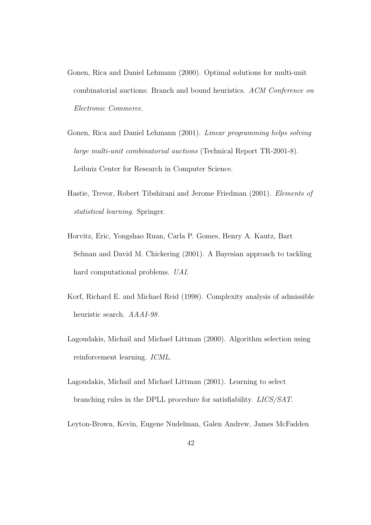- Gonen, Rica and Daniel Lehmann (2000). Optimal solutions for multi-unit combinatorial auctions: Branch and bound heuristics. ACM Conference on Electronic Commerce.
- Gonen, Rica and Daniel Lehmann (2001). Linear programming helps solving large multi-unit combinatorial auctions (Technical Report TR-2001-8). Leibniz Center for Research in Computer Science.
- Hastie, Trevor, Robert Tibshirani and Jerome Friedman (2001). Elements of statistical learning. Springer.
- Horvitz, Eric, Yongshao Ruan, Carla P. Gomes, Henry A. Kautz, Bart Selman and David M. Chickering (2001). A Bayesian approach to tackling hard computational problems. UAI.
- Korf, Richard E. and Michael Reid (1998). Complexity analysis of admissible heuristic search. AAAI-98.
- Lagoudakis, Michail and Michael Littman (2000). Algorithm selection using reinforcement learning. ICML.
- Lagoudakis, Michail and Michael Littman (2001). Learning to select branching rules in the DPLL procedure for satisfiability. LICS/SAT.
- Leyton-Brown, Kevin, Eugene Nudelman, Galen Andrew, James McFadden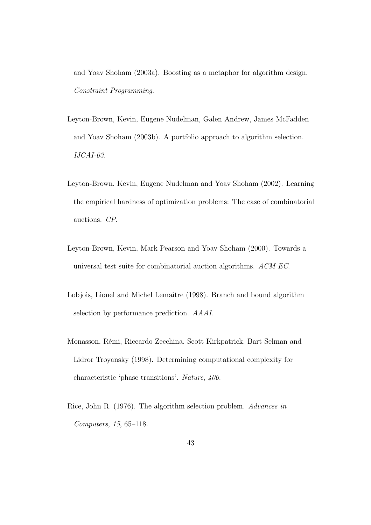and Yoav Shoham (2003a). Boosting as a metaphor for algorithm design. Constraint Programming.

- Leyton-Brown, Kevin, Eugene Nudelman, Galen Andrew, James McFadden and Yoav Shoham (2003b). A portfolio approach to algorithm selection. IJCAI-03.
- Leyton-Brown, Kevin, Eugene Nudelman and Yoav Shoham (2002). Learning the empirical hardness of optimization problems: The case of combinatorial auctions. CP.
- Leyton-Brown, Kevin, Mark Pearson and Yoav Shoham (2000). Towards a universal test suite for combinatorial auction algorithms. ACM EC.
- Lobjois, Lionel and Michel Lemaître (1998). Branch and bound algorithm selection by performance prediction. AAAI.
- Monasson, Rémi, Riccardo Zecchina, Scott Kirkpatrick, Bart Selman and Lidror Troyansky (1998). Determining computational complexity for characteristic 'phase transitions'. Nature, 400.
- Rice, John R. (1976). The algorithm selection problem. Advances in Computers, 15, 65–118.